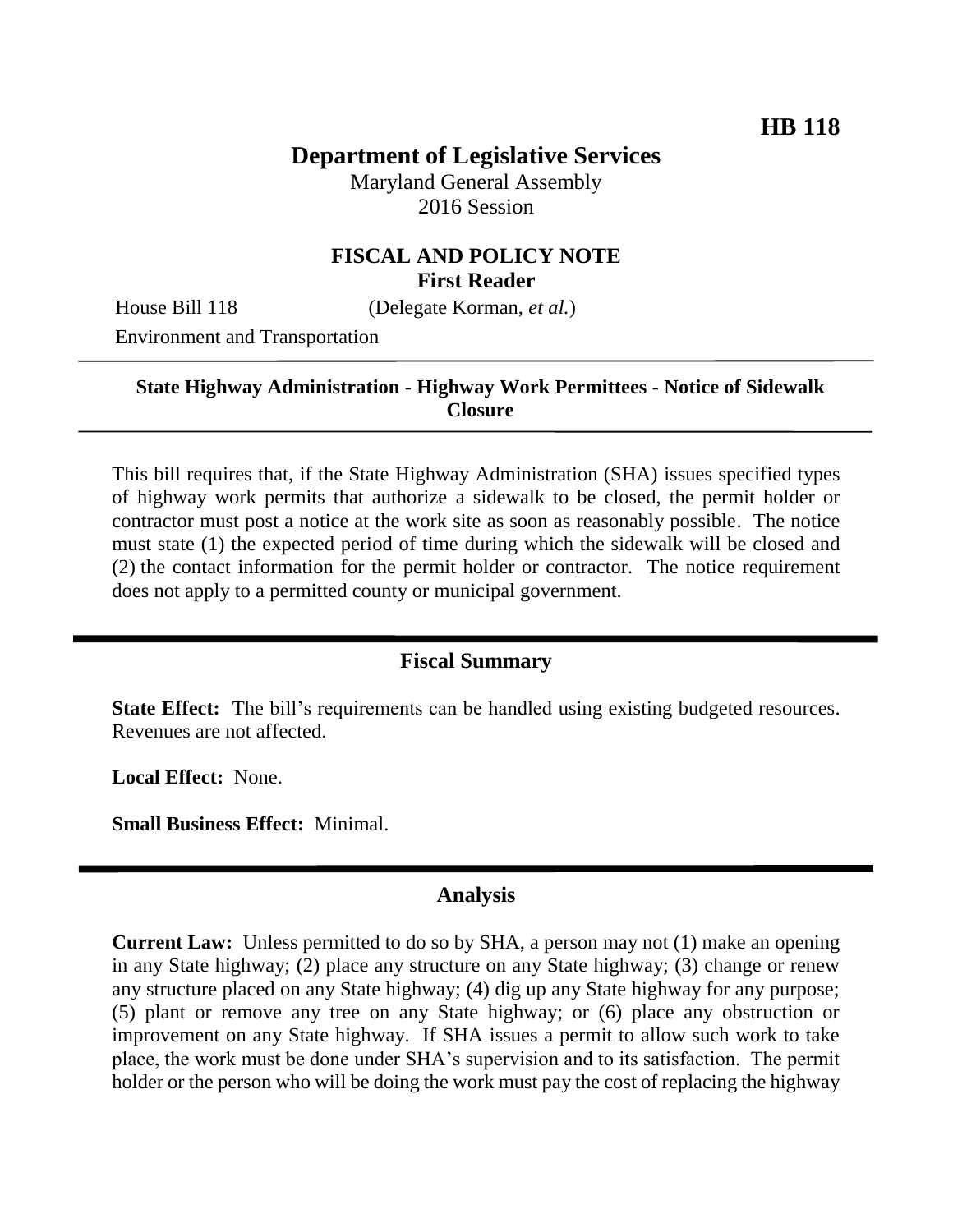# **Department of Legislative Services**

Maryland General Assembly 2016 Session

## **FISCAL AND POLICY NOTE First Reader**

House Bill 118 (Delegate Korman, *et al.*)

Environment and Transportation

### **State Highway Administration - Highway Work Permittees - Notice of Sidewalk Closure**

This bill requires that, if the State Highway Administration (SHA) issues specified types of highway work permits that authorize a sidewalk to be closed, the permit holder or contractor must post a notice at the work site as soon as reasonably possible. The notice must state (1) the expected period of time during which the sidewalk will be closed and (2) the contact information for the permit holder or contractor. The notice requirement does not apply to a permitted county or municipal government.

## **Fiscal Summary**

**State Effect:** The bill's requirements can be handled using existing budgeted resources. Revenues are not affected.

**Local Effect:** None.

**Small Business Effect:** Minimal.

### **Analysis**

**Current Law:** Unless permitted to do so by SHA, a person may not (1) make an opening in any State highway; (2) place any structure on any State highway; (3) change or renew any structure placed on any State highway; (4) dig up any State highway for any purpose; (5) plant or remove any tree on any State highway; or (6) place any obstruction or improvement on any State highway. If SHA issues a permit to allow such work to take place, the work must be done under SHA's supervision and to its satisfaction. The permit holder or the person who will be doing the work must pay the cost of replacing the highway